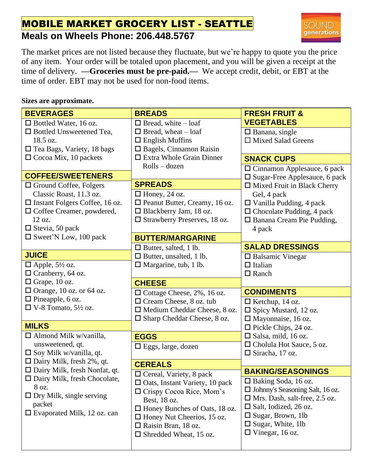## MOBILE MARKET GROCERY LIST - SEATTLE **Meals on Wheels Phone: 206.448.5767**



The market prices are not listed because they fluctuate, but we're happy to quote you the price of any item. Your order will be totaled upon placement, and you will be given a receipt at the time of delivery. **—Groceries must be pre-paid.—** We accept credit, debit, or EBT at the time of order. EBT may not be used for non-food items.

## **Sizes are approximate.**

| <b>BEVERAGES</b>                      | <b>BREADS</b>                         | <b>FRESH FRUIT &amp;</b>                |
|---------------------------------------|---------------------------------------|-----------------------------------------|
| $\Box$ Bottled Water, 16 oz.          | $\Box$ Bread, white – loaf            | <b>VEGETABLES</b>                       |
| $\Box$ Bottled Unsweetened Tea,       | $\Box$ Bread, wheat $-\log$           | $\square$ Banana, single                |
| 18.5 oz.                              | $\Box$ English Muffins                | $\Box$ Mixed Salad Greens               |
| $\Box$ Tea Bags, Variety, 18 bags     | $\Box$ Bagels, Cinnamon Raisin        |                                         |
| $\Box$ Cocoa Mix, 10 packets          | $\Box$ Extra Whole Grain Dinner       | <b>SNACK CUPS</b>                       |
|                                       | $Rolls - dozen$                       | $\Box$ Cinnamon Applesauce, 6 pack      |
| <b>COFFEE/SWEETENERS</b>              |                                       | $\square$ Sugar-Free Applesauce, 6 pack |
| $\Box$ Ground Coffee, Folgers         | <b>SPREADS</b>                        | $\Box$ Mixed Fruit in Black Cherry      |
| Classic Roast, 11.3 oz.               | $\Box$ Honey, 24 oz.                  | Gel, 4 pack                             |
| $\Box$ Instant Folgers Coffee, 16 oz. | $\Box$ Peanut Butter, Creamy, 16 oz.  | $\Box$ Vanilla Pudding, 4 pack          |
| $\Box$ Coffee Creamer, powdered,      | □ Blackberry Jam, 18 oz.              | $\Box$ Chocolate Pudding, 4 pack        |
| 12 oz.                                | □ Strawberry Preserves, 18 oz.        | □ Banana Cream Pie Pudding,             |
| $\Box$ Stevia, 50 pack                |                                       | 4 pack                                  |
| $\square$ Sweet'N Low, 100 pack       | <b>BUTTER/MARGARINE</b>               |                                         |
|                                       | $\Box$ Butter, salted, 1 lb.          | <b>SALAD DRESSINGS</b>                  |
| <b>JUICE</b>                          | $\Box$ Butter, unsalted, 1 lb.        | $\square$ Balsamic Vinegar              |
| $\Box$ Apple, 5½ oz.                  | $\Box$ Margarine, tub, 1 lb.          | $\Box$ Italian                          |
| $\Box$ Cranberry, 64 oz.              |                                       | $\Box$ Ranch                            |
|                                       |                                       |                                         |
| $\Box$ Grape, 10 oz.                  | <b>CHEESE</b>                         |                                         |
| $\Box$ Orange, 10 oz. or 64 oz.       | $\Box$ Cottage Cheese, 2%, 16 oz.     | <b>CONDIMENTS</b>                       |
| $\Box$ Pineapple, 6 oz.               | $\Box$ Cream Cheese, 8 oz. tub        | $\Box$ Ketchup, 14 oz.                  |
| $\Box$ V-8 Tomato, 5½ oz.             | $\Box$ Medium Cheddar Cheese, 8 oz.   | $\Box$ Spicy Mustard, 12 oz.            |
|                                       | $\Box$ Sharp Cheddar Cheese, 8 oz.    | $\Box$ Mayonnaise, 16 oz.               |
| <b>MILKS</b>                          |                                       | $\Box$ Pickle Chips, 24 oz.             |
| $\Box$ Almond Milk w/vanilla,         | <b>EGGS</b>                           | $\square$ Salsa, mild, 16 oz.           |
| unsweetened, qt.                      | $\Box$ Eggs, large, dozen             | $\Box$ Cholula Hot Sauce, 5 oz.         |
| $\square$ Soy Milk w/vanilla, qt.     |                                       | $\Box$ Siracha, 17 oz.                  |
| $\Box$ Dairy Milk, fresh 2%, qt.      | <b>CEREALS</b>                        |                                         |
| $\Box$ Dairy Milk, fresh Nonfat, qt.  | $\Box$ Cereal, Variety, 8 pack        | <b>BAKING/SEASONINGS</b>                |
| $\Box$ Dairy Milk, fresh Chocolate,   | $\Box$ Oats, Instant Variety, 10 pack | $\Box$ Baking Soda, 16 oz.              |
| 8 oz.                                 | $\Box$ Crispy Cocoa Rice, Mom's       | $\Box$ Johnny's Seasoning Salt, 16 oz.  |
| $\Box$ Dry Milk, single serving       | Best, 18 oz.                          | $\Box$ Mrs. Dash, salt-free, 2.5 oz.    |
| packet                                | $\Box$ Honey Bunches of Oats, 18 oz.  | $\Box$ Salt, Iodized, 26 oz.            |
| $\Box$ Evaporated Milk, 12 oz. can    | $\Box$ Honey Nut Cheerios, 15 oz.     | $\Box$ Sugar, Brown, 1lb                |
|                                       | $\Box$ Raisin Bran, 18 oz.            | $\square$ Sugar, White, 1lb             |
|                                       | $\square$ Shredded Wheat, 15 oz.      | $\Box$ Vinegar, 16 oz.                  |